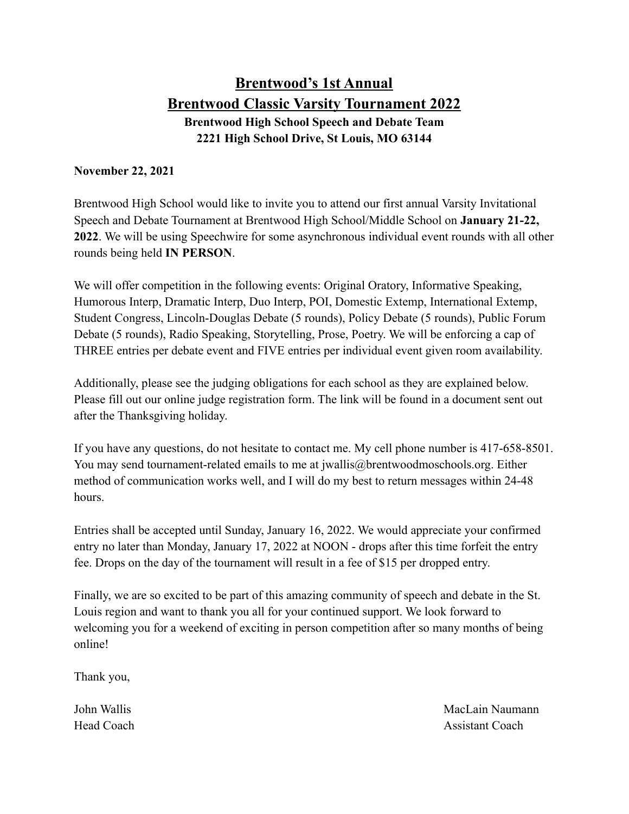# **Brentwood's 1st Annual Brentwood Classic Varsity Tournament 2022 Brentwood High School Speech and Debate Team 2221 High School Drive, St Louis, MO 63144**

#### **November 22, 2021**

Brentwood High School would like to invite you to attend our first annual Varsity Invitational Speech and Debate Tournament at Brentwood High School/Middle School on **January 21-22, 2022**. We will be using Speechwire for some asynchronous individual event rounds with all other rounds being held **IN PERSON**.

We will offer competition in the following events: Original Oratory, Informative Speaking, Humorous Interp, Dramatic Interp, Duo Interp, POI, Domestic Extemp, International Extemp, Student Congress, Lincoln-Douglas Debate (5 rounds), Policy Debate (5 rounds), Public Forum Debate (5 rounds), Radio Speaking, Storytelling, Prose, Poetry. We will be enforcing a cap of THREE entries per debate event and FIVE entries per individual event given room availability.

Additionally, please see the judging obligations for each school as they are explained below. Please fill out our online judge registration form. The link will be found in a document sent out after the Thanksgiving holiday.

If you have any questions, do not hesitate to contact me. My cell phone number is 417-658-8501. You may send tournament-related emails to me at jwallis@brentwoodmoschools.org. Either method of communication works well, and I will do my best to return messages within 24-48 hours.

Entries shall be accepted until Sunday, January 16, 2022. We would appreciate your confirmed entry no later than Monday, January 17, 2022 at NOON - drops after this time forfeit the entry fee. Drops on the day of the tournament will result in a fee of \$15 per dropped entry.

Finally, we are so excited to be part of this amazing community of speech and debate in the St. Louis region and want to thank you all for your continued support. We look forward to welcoming you for a weekend of exciting in person competition after so many months of being online!

Thank you,

John Wallis MacLain Naumann Head Coach **Assistant Coach** Assistant Coach **Assistant Coach**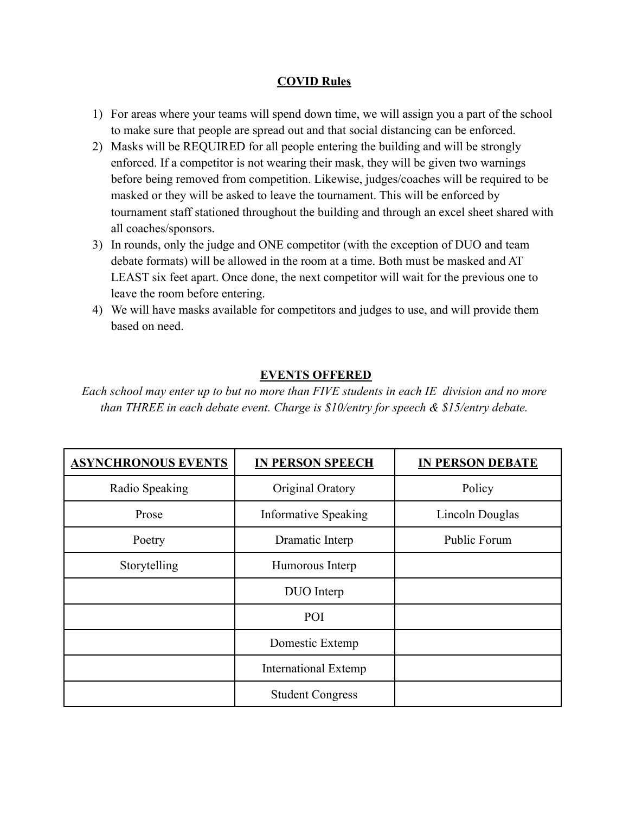### **COVID Rules**

- 1) For areas where your teams will spend down time, we will assign you a part of the school to make sure that people are spread out and that social distancing can be enforced.
- 2) Masks will be REQUIRED for all people entering the building and will be strongly enforced. If a competitor is not wearing their mask, they will be given two warnings before being removed from competition. Likewise, judges/coaches will be required to be masked or they will be asked to leave the tournament. This will be enforced by tournament staff stationed throughout the building and through an excel sheet shared with all coaches/sponsors.
- 3) In rounds, only the judge and ONE competitor (with the exception of DUO and team debate formats) will be allowed in the room at a time. Both must be masked and AT LEAST six feet apart. Once done, the next competitor will wait for the previous one to leave the room before entering.
- 4) We will have masks available for competitors and judges to use, and will provide them based on need.

### **EVENTS OFFERED**

*Each school may enter up to but no more than FIVE students in each IE division and no more than THREE in each debate event. Charge is \$10/entry for speech & \$15/entry debate.*

| <b>ASYNCHRONOUS EVENTS</b> | <b>IN PERSON SPEECH</b>     | <b>IN PERSON DEBATE</b> |
|----------------------------|-----------------------------|-------------------------|
| Radio Speaking             | Original Oratory            | Policy                  |
| Prose                      | <b>Informative Speaking</b> | Lincoln Douglas         |
| Poetry                     | Dramatic Interp             | <b>Public Forum</b>     |
| Storytelling               | Humorous Interp             |                         |
|                            | DUO Interp                  |                         |
|                            | POI                         |                         |
|                            | Domestic Extemp             |                         |
|                            | <b>International Extemp</b> |                         |
|                            | <b>Student Congress</b>     |                         |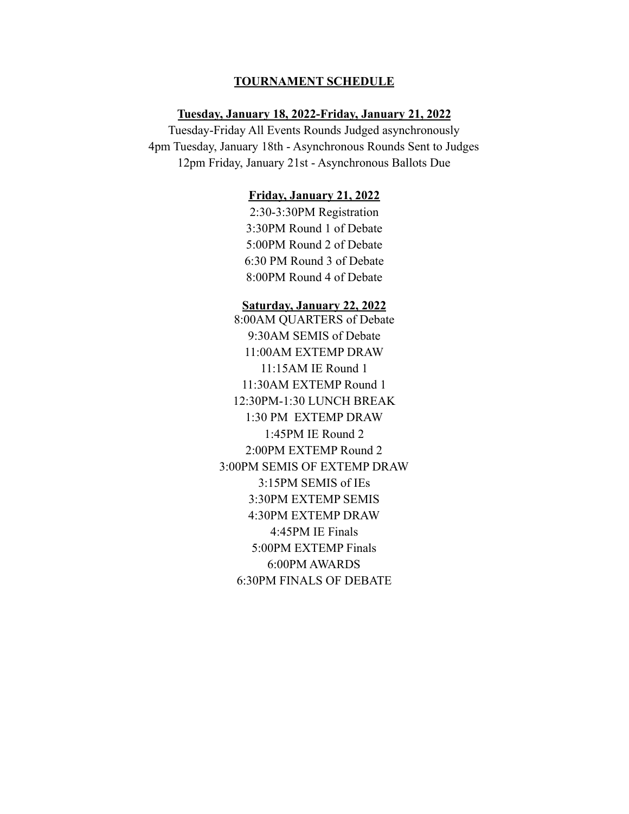#### **TOURNAMENT SCHEDULE**

#### **Tuesday, January 18, 2022-Friday, January 21, 2022**

Tuesday-Friday All Events Rounds Judged asynchronously 4pm Tuesday, January 18th - Asynchronous Rounds Sent to Judges 12pm Friday, January 21st - Asynchronous Ballots Due

#### **Friday, January 21, 2022**

2:30-3:30PM Registration 3:30PM Round 1 of Debate 5:00PM Round 2 of Debate 6:30 PM Round 3 of Debate 8:00PM Round 4 of Debate

#### **Saturday, January 22, 2022**

8:00AM QUARTERS of Debate 9:30AM SEMIS of Debate 11:00AM EXTEMP DRAW 11:15AM IE Round 1 11:30AM EXTEMP Round 1 12:30PM-1:30 LUNCH BREAK 1:30 PM EXTEMP DRAW 1:45PM IE Round 2 2:00PM EXTEMP Round 2 3:00PM SEMIS OF EXTEMP DRAW 3:15PM SEMIS of IEs 3:30PM EXTEMP SEMIS 4:30PM EXTEMP DRAW 4:45PM IE Finals 5:00PM EXTEMP Finals 6:00PM AWARDS 6:30PM FINALS OF DEBATE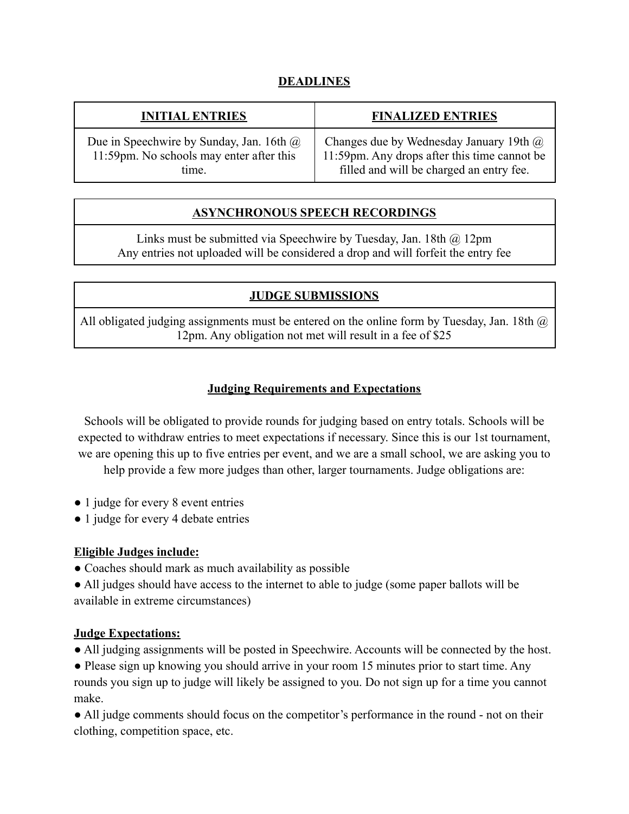# **DEADLINES**

| <b>INITIAL ENTRIES</b>                          | <b>FINALIZED ENTRIES</b>                     |
|-------------------------------------------------|----------------------------------------------|
| Due in Speechwire by Sunday, Jan. 16th $\omega$ | Changes due by Wednesday January 19th @      |
| 11:59pm. No schools may enter after this        | 11:59pm. Any drops after this time cannot be |
| time.                                           | filled and will be charged an entry fee.     |

# **ASYNCHRONOUS SPEECH RECORDINGS**

Links must be submitted via Speechwire by Tuesday, Jan. 18th @ 12pm Any entries not uploaded will be considered a drop and will forfeit the entry fee

# **JUDGE SUBMISSIONS**

All obligated judging assignments must be entered on the online form by Tuesday, Jan. 18th  $\omega$ 12pm. Any obligation not met will result in a fee of \$25

# **Judging Requirements and Expectations**

Schools will be obligated to provide rounds for judging based on entry totals. Schools will be expected to withdraw entries to meet expectations if necessary. Since this is our 1st tournament, we are opening this up to five entries per event, and we are a small school, we are asking you to help provide a few more judges than other, larger tournaments. Judge obligations are:

- 1 judge for every 8 event entries
- 1 judge for every 4 debate entries

# **Eligible Judges include:**

● Coaches should mark as much availability as possible

● All judges should have access to the internet to able to judge (some paper ballots will be available in extreme circumstances)

### **Judge Expectations:**

● All judging assignments will be posted in Speechwire. Accounts will be connected by the host.

• Please sign up knowing you should arrive in your room 15 minutes prior to start time. Any rounds you sign up to judge will likely be assigned to you. Do not sign up for a time you cannot make.

• All judge comments should focus on the competitor's performance in the round - not on their clothing, competition space, etc.